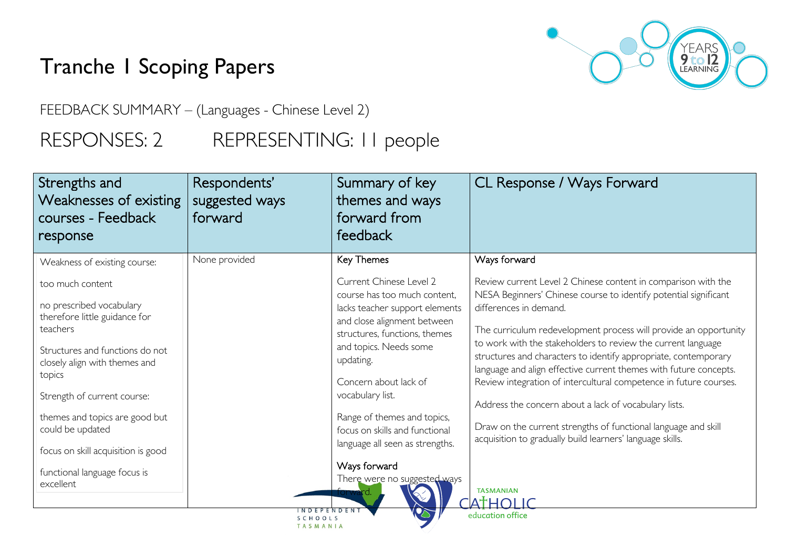## Tranche 1 Scoping Papers

YEARS<br>**9 to 12**<br>LEARNING

FEEDBACK SUMMARY – (Languages - Chinese Level 2)

## RESPONSES: 2 REPRESENTING: II people

| Strengths and<br>Weaknesses of existing<br>courses - Feedback<br>response                                                                                                                                                                                                                                                                                                       | Respondents'<br>suggested ways<br>forward | Summary of key<br>themes and ways<br>forward from<br>feedback                                                                                                                                                                                                                                                                                                                                                          | CL Response / Ways Forward                                                                                                                                                                                                                                                                                                                                                                                                                                                                                                                                                                                                                                                                                                               |
|---------------------------------------------------------------------------------------------------------------------------------------------------------------------------------------------------------------------------------------------------------------------------------------------------------------------------------------------------------------------------------|-------------------------------------------|------------------------------------------------------------------------------------------------------------------------------------------------------------------------------------------------------------------------------------------------------------------------------------------------------------------------------------------------------------------------------------------------------------------------|------------------------------------------------------------------------------------------------------------------------------------------------------------------------------------------------------------------------------------------------------------------------------------------------------------------------------------------------------------------------------------------------------------------------------------------------------------------------------------------------------------------------------------------------------------------------------------------------------------------------------------------------------------------------------------------------------------------------------------------|
| Weakness of existing course:<br>too much content<br>no prescribed vocabulary<br>therefore little guidance for<br>teachers<br>Structures and functions do not<br>closely align with themes and<br>topics<br>Strength of current course:<br>themes and topics are good but<br>could be updated<br>focus on skill acquisition is good<br>functional language focus is<br>excellent | None provided                             | <b>Key Themes</b><br>Current Chinese Level 2<br>course has too much content.<br>lacks teacher support elements<br>and close alignment between<br>structures, functions, themes<br>and topics. Needs some<br>updating.<br>Concern about lack of<br>vocabulary list.<br>Range of themes and topics,<br>focus on skills and functional<br>language all seen as strengths.<br>Ways forward<br>There were no suggested ways | Ways forward<br>Review current Level 2 Chinese content in comparison with the<br>NESA Beginners' Chinese course to identify potential significant<br>differences in demand.<br>The curriculum redevelopment process will provide an opportunity<br>to work with the stakeholders to review the current language<br>structures and characters to identify appropriate, contemporary<br>language and align effective current themes with future concepts.<br>Review integration of intercultural competence in future courses.<br>Address the concern about a lack of vocabulary lists.<br>Draw on the current strengths of functional language and skill<br>acquisition to gradually build learners' language skills.<br><b>TASMANIAN</b> |
|                                                                                                                                                                                                                                                                                                                                                                                 | N D F P F N D F N<br>TASMANIA             |                                                                                                                                                                                                                                                                                                                                                                                                                        | <b>ATHOLIC</b><br>education office                                                                                                                                                                                                                                                                                                                                                                                                                                                                                                                                                                                                                                                                                                       |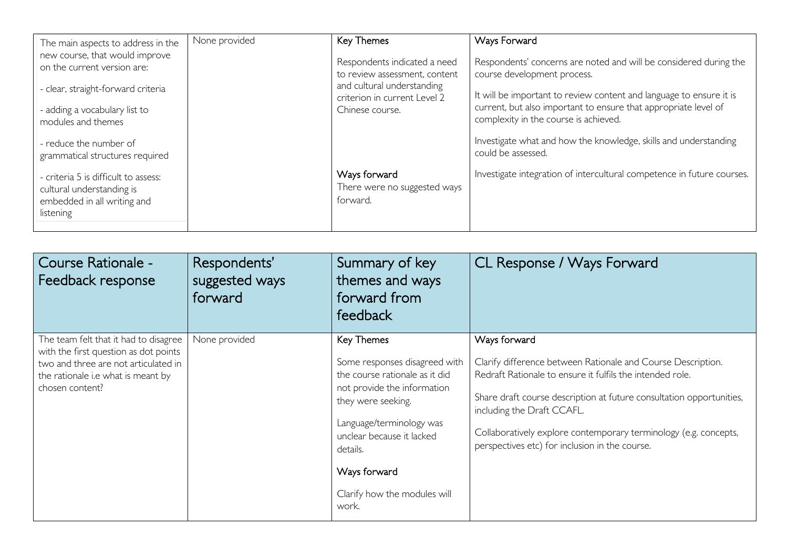| The main aspects to address in the<br>new course, that would improve                                          | None provided | <b>Key Themes</b>                                             | Ways Forward                                                                                                                           |
|---------------------------------------------------------------------------------------------------------------|---------------|---------------------------------------------------------------|----------------------------------------------------------------------------------------------------------------------------------------|
| on the current version are:                                                                                   |               | Respondents indicated a need<br>to review assessment, content | Respondents' concerns are noted and will be considered during the<br>course development process.                                       |
| - clear, straight-forward criteria                                                                            |               | and cultural understanding<br>criterion in current Level 2    | It will be important to review content and language to ensure it is<br>current, but also important to ensure that appropriate level of |
| - adding a vocabulary list to<br>modules and themes                                                           |               | Chinese course.                                               | complexity in the course is achieved.                                                                                                  |
| - reduce the number of<br>grammatical structures required                                                     |               |                                                               | Investigate what and how the knowledge, skills and understanding<br>could be assessed.                                                 |
| - criteria 5 is difficult to assess:<br>cultural understanding is<br>embedded in all writing and<br>listening |               | Ways forward<br>There were no suggested ways<br>forward.      | Investigate integration of intercultural competence in future courses.                                                                 |
|                                                                                                               |               |                                                               |                                                                                                                                        |

| Course Rationale -<br>Feedback response                                                                                                                                         | Respondents'<br>suggested ways<br>forward | Summary of key<br>themes and ways<br>forward from<br>feedback                                                                                                                                                                                                    | CL Response / Ways Forward                                                                                                                                                                                                                                                                                                                                            |
|---------------------------------------------------------------------------------------------------------------------------------------------------------------------------------|-------------------------------------------|------------------------------------------------------------------------------------------------------------------------------------------------------------------------------------------------------------------------------------------------------------------|-----------------------------------------------------------------------------------------------------------------------------------------------------------------------------------------------------------------------------------------------------------------------------------------------------------------------------------------------------------------------|
| The team felt that it had to disagree<br>with the first question as dot points<br>two and three are not articulated in<br>the rationale i.e what is meant by<br>chosen content? | None provided                             | Key Themes<br>Some responses disagreed with<br>the course rationale as it did<br>not provide the information<br>they were seeking.<br>Language/terminology was<br>unclear because it lacked<br>details.<br>Ways forward<br>Clarify how the modules will<br>work. | Ways forward<br>Clarify difference between Rationale and Course Description.<br>Redraft Rationale to ensure it fulfils the intended role.<br>Share draft course description at future consultation opportunities,<br>including the Draft CCAFL.<br>Collaboratively explore contemporary terminology (e.g. concepts,<br>perspectives etc) for inclusion in the course. |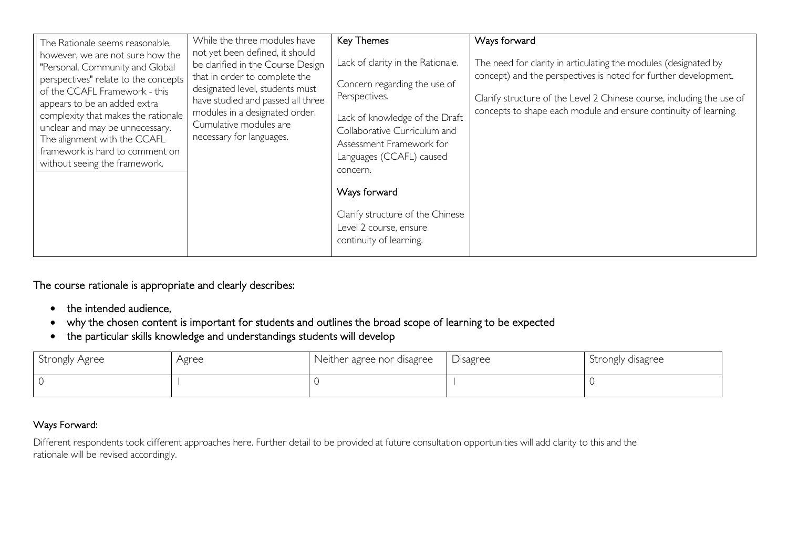| The Rationale seems reasonable,<br>however, we are not sure how the<br>"Personal, Community and Global<br>perspectives" relate to the concepts<br>of the CCAFL Framework - this<br>appears to be an added extra<br>complexity that makes the rationale<br>unclear and may be unnecessary.<br>The alignment with the CCAFL<br>framework is hard to comment on<br>without seeing the framework. | While the three modules have<br>not yet been defined, it should<br>be clarified in the Course Design<br>that in order to complete the<br>designated level, students must<br>have studied and passed all three<br>modules in a designated order.<br>Cumulative modules are<br>necessary for languages. | <b>Key Themes</b><br>Lack of clarity in the Rationale.<br>Concern regarding the use of<br>Perspectives.<br>Lack of knowledge of the Draft<br>Collaborative Curriculum and<br>Assessment Framework for<br>Languages (CCAFL) caused<br>concern.<br>Ways forward<br>Clarify structure of the Chinese<br>Level 2 course, ensure<br>continuity of learning. | Ways forward<br>The need for clarity in articulating the modules (designated by<br>concept) and the perspectives is noted for further development.<br>Clarify structure of the Level 2 Chinese course, including the use of<br>concepts to shape each module and ensure continuity of learning. |
|-----------------------------------------------------------------------------------------------------------------------------------------------------------------------------------------------------------------------------------------------------------------------------------------------------------------------------------------------------------------------------------------------|-------------------------------------------------------------------------------------------------------------------------------------------------------------------------------------------------------------------------------------------------------------------------------------------------------|--------------------------------------------------------------------------------------------------------------------------------------------------------------------------------------------------------------------------------------------------------------------------------------------------------------------------------------------------------|-------------------------------------------------------------------------------------------------------------------------------------------------------------------------------------------------------------------------------------------------------------------------------------------------|
|-----------------------------------------------------------------------------------------------------------------------------------------------------------------------------------------------------------------------------------------------------------------------------------------------------------------------------------------------------------------------------------------------|-------------------------------------------------------------------------------------------------------------------------------------------------------------------------------------------------------------------------------------------------------------------------------------------------------|--------------------------------------------------------------------------------------------------------------------------------------------------------------------------------------------------------------------------------------------------------------------------------------------------------------------------------------------------------|-------------------------------------------------------------------------------------------------------------------------------------------------------------------------------------------------------------------------------------------------------------------------------------------------|

The course rationale is appropriate and clearly describes:

- the intended audience,
- why the chosen content is important for students and outlines the broad scope of learning to be expected
- the particular skills knowledge and understandings students will develop

| Strongly Agree | Agree | Neither agree nor disagree | Disagree | Strongly disagree |
|----------------|-------|----------------------------|----------|-------------------|
|                |       |                            |          |                   |

## Ways Forward:

Different respondents took different approaches here. Further detail to be provided at future consultation opportunities will add clarity to this and the rationale will be revised accordingly.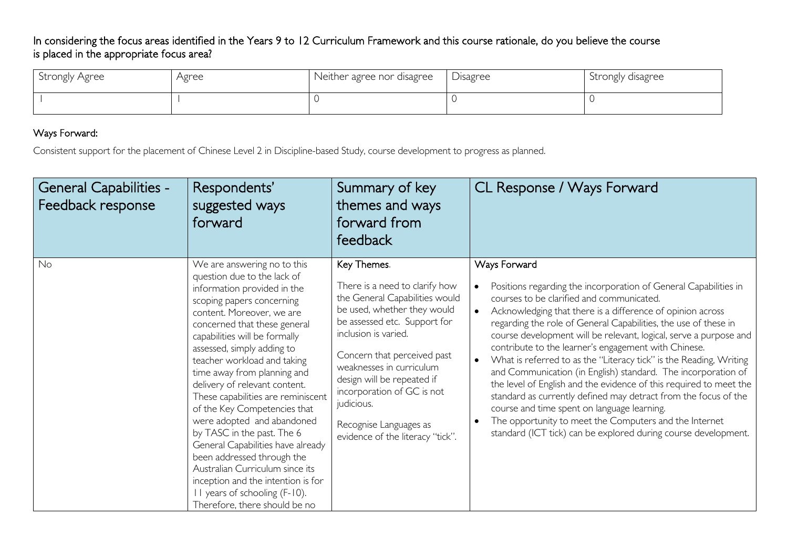In considering the focus areas identified in the Years 9 to 12 Curriculum Framework and this course rationale, do you believe the course is placed in the appropriate focus area?

| Strongly Agree | Agree | Neither agree nor disagree | Disagree | Strongly disagree |
|----------------|-------|----------------------------|----------|-------------------|
|                |       |                            |          |                   |

## Ways Forward:

Consistent support for the placement of Chinese Level 2 in Discipline-based Study, course development to progress as planned.

| <b>General Capabilities -</b><br>Feedback response | Respondents'<br>suggested ways<br>forward                                                                                                                                                                                                                                                                                                                                                                                                                                                                                                                                                                                                                                                         | Summary of key<br>themes and ways<br>forward from<br>feedback                                                                                                                                                                                                                                                                                                             | CL Response / Ways Forward                                                                                                                                                                                                                                                                                                                                                                                                                                                                                                                                                                                                                                                                                                                                                                                                                             |
|----------------------------------------------------|---------------------------------------------------------------------------------------------------------------------------------------------------------------------------------------------------------------------------------------------------------------------------------------------------------------------------------------------------------------------------------------------------------------------------------------------------------------------------------------------------------------------------------------------------------------------------------------------------------------------------------------------------------------------------------------------------|---------------------------------------------------------------------------------------------------------------------------------------------------------------------------------------------------------------------------------------------------------------------------------------------------------------------------------------------------------------------------|--------------------------------------------------------------------------------------------------------------------------------------------------------------------------------------------------------------------------------------------------------------------------------------------------------------------------------------------------------------------------------------------------------------------------------------------------------------------------------------------------------------------------------------------------------------------------------------------------------------------------------------------------------------------------------------------------------------------------------------------------------------------------------------------------------------------------------------------------------|
| No                                                 | We are answering no to this<br>question due to the lack of<br>information provided in the<br>scoping papers concerning<br>content. Moreover, we are<br>concerned that these general<br>capabilities will be formally<br>assessed, simply adding to<br>teacher workload and taking<br>time away from planning and<br>delivery of relevant content.<br>These capabilities are reminiscent<br>of the Key Competencies that<br>were adopted and abandoned<br>by TASC in the past. The 6<br>General Capabilities have already<br>been addressed through the<br>Australian Curriculum since its<br>inception and the intention is for<br>II years of schooling (F-10).<br>Therefore, there should be no | Key Themes.<br>There is a need to clarify how<br>the General Capabilities would<br>be used, whether they would<br>be assessed etc. Support for<br>inclusion is varied.<br>Concern that perceived past<br>weaknesses in curriculum<br>design will be repeated if<br>incorporation of GC is not<br>judicious.<br>Recognise Languages as<br>evidence of the literacy "tick". | Ways Forward<br>Positions regarding the incorporation of General Capabilities in<br>courses to be clarified and communicated.<br>Acknowledging that there is a difference of opinion across<br>regarding the role of General Capabilities, the use of these in<br>course development will be relevant, logical, serve a purpose and<br>contribute to the learner's engagement with Chinese.<br>What is referred to as the "Literacy tick" is the Reading, Writing<br>and Communication (in English) standard. The incorporation of<br>the level of English and the evidence of this required to meet the<br>standard as currently defined may detract from the focus of the<br>course and time spent on language learning.<br>The opportunity to meet the Computers and the Internet<br>standard (ICT tick) can be explored during course development. |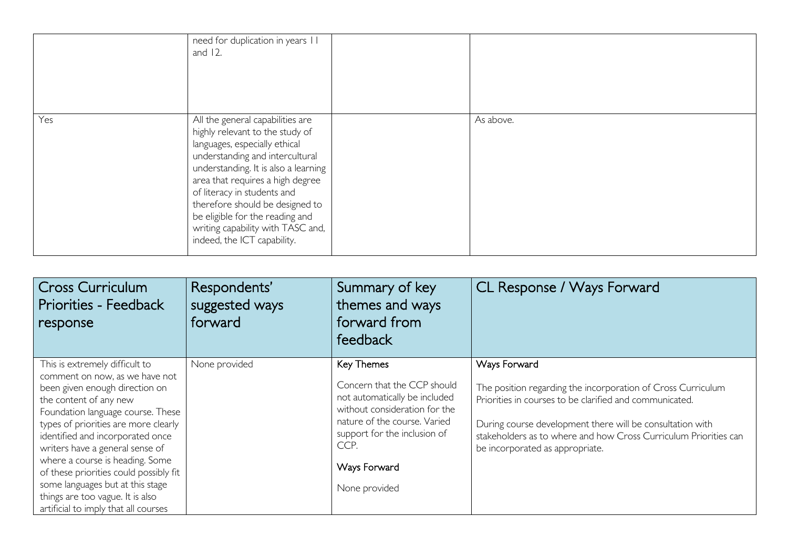|     | need for duplication in years II<br>and $12$ .                                                                                                                                                                                                                                                                                                                                               |           |
|-----|----------------------------------------------------------------------------------------------------------------------------------------------------------------------------------------------------------------------------------------------------------------------------------------------------------------------------------------------------------------------------------------------|-----------|
| Yes | All the general capabilities are<br>highly relevant to the study of<br>languages, especially ethical<br>understanding and intercultural<br>understanding. It is also a learning<br>area that requires a high degree<br>of literacy in students and<br>therefore should be designed to<br>be eligible for the reading and<br>writing capability with TASC and,<br>indeed, the ICT capability. | As above. |

| <b>Cross Curriculum</b><br>Priorities - Feedback<br>response                                                                                                                                                                                                                                                                                                                                                                                                                  | Respondents'<br>suggested ways<br>forward | Summary of key<br>themes and ways<br>forward from<br>feedback                                                                                                                                                        | CL Response / Ways Forward                                                                                                                                                                                                                                                                                  |
|-------------------------------------------------------------------------------------------------------------------------------------------------------------------------------------------------------------------------------------------------------------------------------------------------------------------------------------------------------------------------------------------------------------------------------------------------------------------------------|-------------------------------------------|----------------------------------------------------------------------------------------------------------------------------------------------------------------------------------------------------------------------|-------------------------------------------------------------------------------------------------------------------------------------------------------------------------------------------------------------------------------------------------------------------------------------------------------------|
| This is extremely difficult to<br>comment on now, as we have not<br>been given enough direction on<br>the content of any new<br>Foundation language course. These<br>types of priorities are more clearly<br>identified and incorporated once<br>writers have a general sense of<br>where a course is heading. Some<br>of these priorities could possibly fit<br>some languages but at this stage<br>things are too vague. It is also<br>artificial to imply that all courses | None provided                             | Key Themes<br>Concern that the CCP should<br>not automatically be included<br>without consideration for the<br>nature of the course. Varied<br>support for the inclusion of<br>CCP.<br>Ways Forward<br>None provided | Ways Forward<br>The position regarding the incorporation of Cross Curriculum<br>Priorities in courses to be clarified and communicated.<br>During course development there will be consultation with<br>stakeholders as to where and how Cross Curriculum Priorities can<br>be incorporated as appropriate. |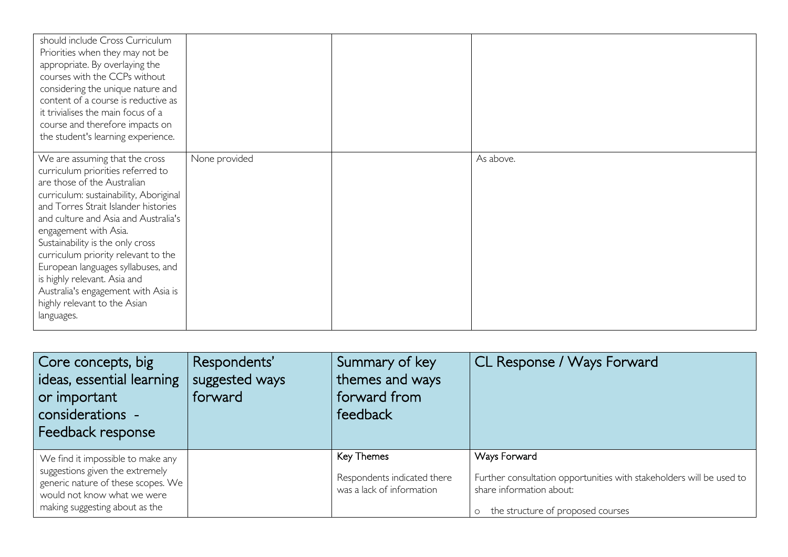| should include Cross Curriculum<br>Priorities when they may not be<br>appropriate. By overlaying the<br>courses with the CCPs without<br>considering the unique nature and<br>content of a course is reductive as<br>it trivialises the main focus of a<br>course and therefore impacts on<br>the student's learning experience.                                                                                                                                                            |               |           |
|---------------------------------------------------------------------------------------------------------------------------------------------------------------------------------------------------------------------------------------------------------------------------------------------------------------------------------------------------------------------------------------------------------------------------------------------------------------------------------------------|---------------|-----------|
| We are assuming that the cross<br>curriculum priorities referred to<br>are those of the Australian<br>curriculum: sustainability, Aboriginal<br>and Torres Strait Islander histories<br>and culture and Asia and Australia's<br>engagement with Asia.<br>Sustainability is the only cross<br>curriculum priority relevant to the<br>European languages syllabuses, and<br>is highly relevant. Asia and<br>Australia's engagement with Asia is<br>highly relevant to the Asian<br>languages. | None provided | As above. |

| Core concepts, big<br>ideas, essential learning<br>or important<br>considerations -<br>Feedback response                                                                    | Respondents'<br>suggested ways<br>forward | Summary of key<br>themes and ways<br>forward from<br>feedback          | CL Response / Ways Forward                                                                                                                              |
|-----------------------------------------------------------------------------------------------------------------------------------------------------------------------------|-------------------------------------------|------------------------------------------------------------------------|---------------------------------------------------------------------------------------------------------------------------------------------------------|
| We find it impossible to make any<br>suggestions given the extremely<br>generic nature of these scopes. We<br>would not know what we were<br>making suggesting about as the |                                           | Key Themes<br>Respondents indicated there<br>was a lack of information | Ways Forward<br>Further consultation opportunities with stakeholders will be used to<br>share information about:<br>o the structure of proposed courses |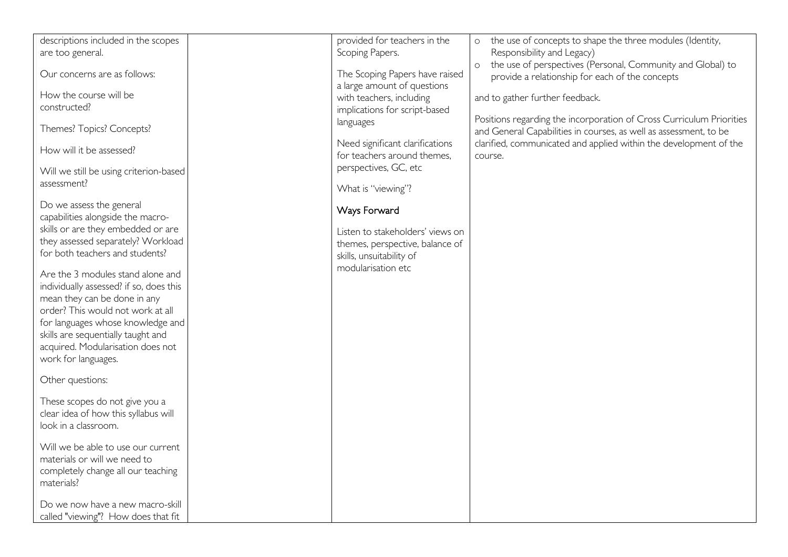| descriptions included in the scopes     | provided for teachers in the     | the use of concepts to shape the three modules (Identity,<br>$\circ$   |
|-----------------------------------------|----------------------------------|------------------------------------------------------------------------|
| are too general.                        | Scoping Papers.                  | Responsibility and Legacy)                                             |
|                                         |                                  | the use of perspectives (Personal, Community and Global) to<br>$\circ$ |
| Our concerns are as follows:            | The Scoping Papers have raised   | provide a relationship for each of the concepts                        |
|                                         | a large amount of questions      |                                                                        |
| How the course will be                  | with teachers, including         | and to gather further feedback.                                        |
| constructed?                            | implications for script-based    |                                                                        |
|                                         | languages                        | Positions regarding the incorporation of Cross Curriculum Priorities   |
| Themes? Topics? Concepts?               |                                  | and General Capabilities in courses, as well as assessment, to be      |
| How will it be assessed?                | Need significant clarifications  | clarified, communicated and applied within the development of the      |
|                                         | for teachers around themes,      | course.                                                                |
| Will we still be using criterion-based  | perspectives, GC, etc            |                                                                        |
| assessment?                             |                                  |                                                                        |
|                                         | What is "viewing"?               |                                                                        |
| Do we assess the general                |                                  |                                                                        |
| capabilities alongside the macro-       | Ways Forward                     |                                                                        |
| skills or are they embedded or are      | Listen to stakeholders' views on |                                                                        |
| they assessed separately? Workload      | themes, perspective, balance of  |                                                                        |
| for both teachers and students?         | skills, unsuitability of         |                                                                        |
|                                         | modularisation etc               |                                                                        |
| Are the 3 modules stand alone and       |                                  |                                                                        |
| individually assessed? if so, does this |                                  |                                                                        |
| mean they can be done in any            |                                  |                                                                        |
| order? This would not work at all       |                                  |                                                                        |
| for languages whose knowledge and       |                                  |                                                                        |
| skills are sequentially taught and      |                                  |                                                                        |
| acquired. Modularisation does not       |                                  |                                                                        |
| work for languages.                     |                                  |                                                                        |
|                                         |                                  |                                                                        |
| Other questions:                        |                                  |                                                                        |
|                                         |                                  |                                                                        |
| These scopes do not give you a          |                                  |                                                                        |
| clear idea of how this syllabus will    |                                  |                                                                        |
| look in a classroom.                    |                                  |                                                                        |
|                                         |                                  |                                                                        |
| Will we be able to use our current      |                                  |                                                                        |
| materials or will we need to            |                                  |                                                                        |
| completely change all our teaching      |                                  |                                                                        |
| materials?                              |                                  |                                                                        |
|                                         |                                  |                                                                        |
| Do we now have a new macro-skill        |                                  |                                                                        |
| called "viewing"? How does that fit     |                                  |                                                                        |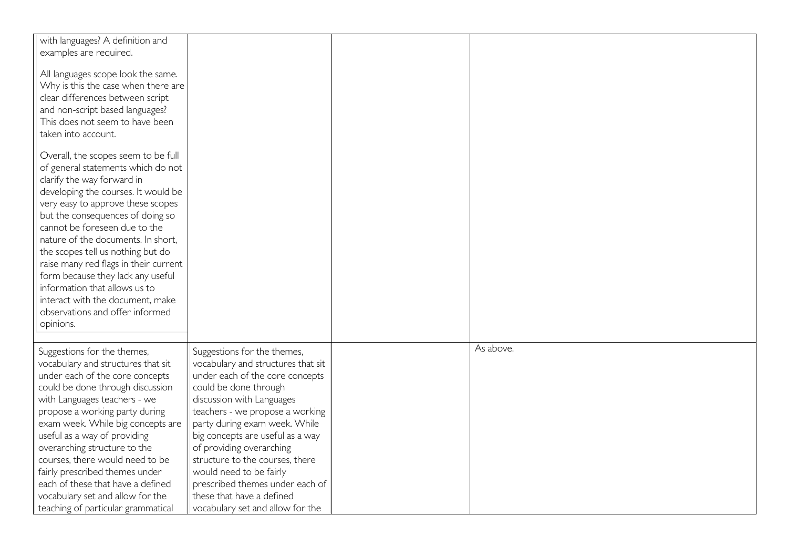| with languages? A definition and<br>examples are required.                                                                                                                                                                                                                                                                                                                                                                                                                                                                             |                                                                                                                                                                                                                                                                                                                                                                                                                                                                  |           |
|----------------------------------------------------------------------------------------------------------------------------------------------------------------------------------------------------------------------------------------------------------------------------------------------------------------------------------------------------------------------------------------------------------------------------------------------------------------------------------------------------------------------------------------|------------------------------------------------------------------------------------------------------------------------------------------------------------------------------------------------------------------------------------------------------------------------------------------------------------------------------------------------------------------------------------------------------------------------------------------------------------------|-----------|
| All languages scope look the same.<br>Why is this the case when there are<br>clear differences between script<br>and non-script based languages?<br>This does not seem to have been<br>taken into account.                                                                                                                                                                                                                                                                                                                             |                                                                                                                                                                                                                                                                                                                                                                                                                                                                  |           |
| Overall, the scopes seem to be full<br>of general statements which do not<br>clarify the way forward in<br>developing the courses. It would be<br>very easy to approve these scopes<br>but the consequences of doing so<br>cannot be foreseen due to the<br>nature of the documents. In short,<br>the scopes tell us nothing but do<br>raise many red flags in their current<br>form because they lack any useful<br>information that allows us to<br>interact with the document, make<br>observations and offer informed<br>opinions. |                                                                                                                                                                                                                                                                                                                                                                                                                                                                  |           |
| Suggestions for the themes,<br>vocabulary and structures that sit<br>under each of the core concepts<br>could be done through discussion<br>with Languages teachers - we<br>propose a working party during<br>exam week. While big concepts are<br>useful as a way of providing<br>overarching structure to the<br>courses, there would need to be<br>fairly prescribed themes under<br>each of these that have a defined<br>vocabulary set and allow for the<br>teaching of particular grammatical                                    | Suggestions for the themes,<br>vocabulary and structures that sit<br>under each of the core concepts<br>could be done through<br>discussion with Languages<br>teachers - we propose a working<br>party during exam week. While<br>big concepts are useful as a way<br>of providing overarching<br>structure to the courses, there<br>would need to be fairly<br>prescribed themes under each of<br>these that have a defined<br>vocabulary set and allow for the | As above. |